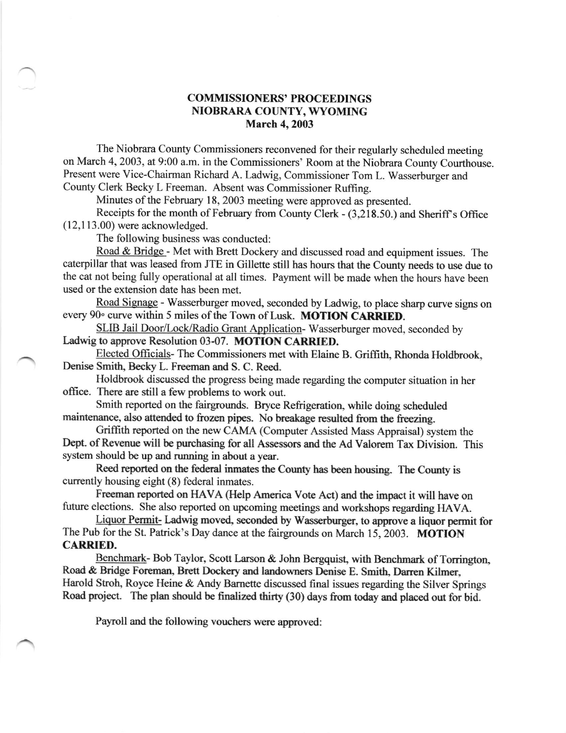## COMMISSIONERS' PROCEEDINGS NIOBRARA COUNTY, WYOMING March 4, 2003

The Niobrara County Commissioners reconvened for their regularly scheduled meeting on March 4, 2003, at 9:00 a.m. in the Commissioners' Room at the Niobrara County Courthouse. Present were Vice-Chairman Richard A. Ladwig, Commissioner Tom L. Wasserburger and County Clerk Becky L Freeman. Absent was Commissioner Ruffing.

Minutes of the February 18, 2003 meeting were approved as presented.

Receipts for the month of February from County Clerk - (3,218.50.) and Sheriff's Office (12,1 13.00) were acknowledged.

The following business was conducted:

Road & Bridge - Met with Brett Dockery and discussed road and equipment issues. The caterpillar that was leased from JTE in Gillette sill has hours that the County needs to use due to the cat not being fully operational at all times. Payment will be made when the hours have been used or the extension date has been met.

Road Signage - Wasserburger moved, seconded by Ladwig, to place sharp curve signs on every 90° curve within 5 miles of the Town of Lusk. MOTION CARRIED.

SLIB Jail Door/Lock/Radio Grant Application-Wasserburger moved, seconded by Ladwig to approve Resolution 03-07. MOTION CARRIED.

Elected Officials- The Commissioners met with Elaine B. Griffith, Rhonda Holdbrook, Denise Smith, Becky L. Freeman and S. C. Reed.

Holdbrook discussed the progress being made regarding the computer situation in her office. There are still a few problems to work out.

Smith reported on the fairgrounds. Bryce Refrigeration, while doing scheduled maintenance, also attended to frozen pipes. No breakage resulted from the freczing.

Griffith reported on the new CAMA (Computer Assisted Mass Appraisal) system the Dept. of Revenue will be purchasing for all Assessors and the Ad Valorem Tax Division. This system should be up and running in about a year.

Reed reported on the federal inmates the County has been housing. The County is currently housing eight (8) federal inmates.

Freeman reported on HAVA (Help America Vote Act) and the impact it will have on future elections. She also reported on upcoming meetings and workshops regarding HAVA.

Liquor Permit- Ladwig moved, seconded by Wasserburger, to approve a liquor permit for The Pub for the St. Patrick's Day dance at the fairgrounds on March 15, 2003. MOTION CARRIED.

Benchmark- Bob Taylor, Scott Larson & John Bergquist, with Benchmark of Torrington, Road & Bridge Foreman, Brett Dockery and landowners Denise E. Smith, Darren Kilmer, Harold Stroh, Royce Heine & Andy Barnette discussed final issues regarding the Silver Springs Road project. The plan should be fimlized thirty (30) days from today and placed out for bid.

Payroll and the following vouchers were approved: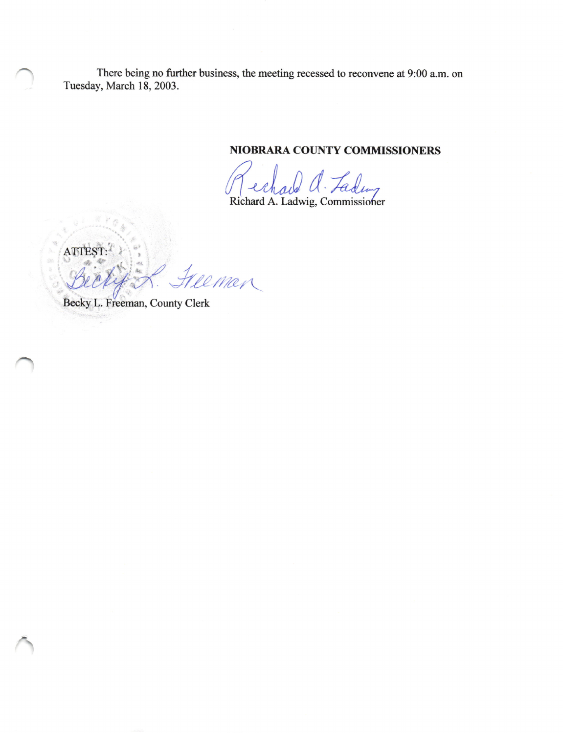There being no further business, the meeting recessed to reconvene at 9:00 a.m. on Tuesday, March 18, 2003.

NIOBRARA COUNTY COMMISSIONERS

Richard a. Ladwig, Commissioner

ATTEST 2 Man

Becky L. Freeman, County Clerk